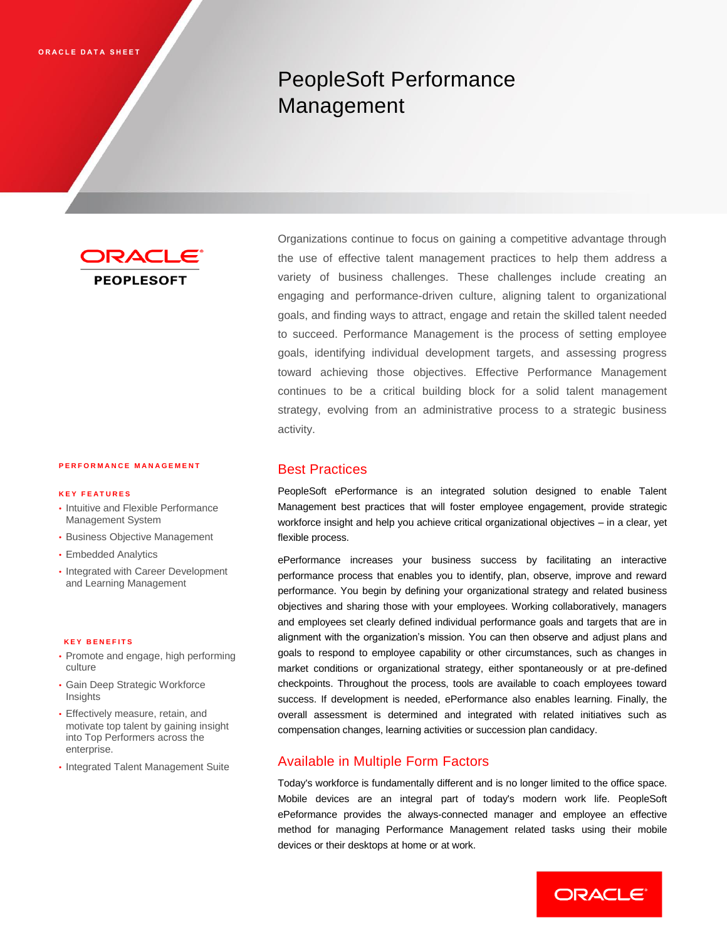# PeopleSoft Performance Management

**PEOPLESOFT** 

### **P E R F O R M A N C E M A N A G E M E N T**

### **K E Y F E A T U R E S**

- Intuitive and Flexible Performance Management System
- Business Objective Management
- Embedded Analytics
- Integrated with Career Development and Learning Management

### **K E Y B E N E F I T S**

- Promote and engage, high performing culture
- Gain Deep Strategic Workforce Insights
- Effectively measure, retain, and motivate top talent by gaining insight into Top Performers across the enterprise.
- Integrated Talent Management Suite

Organizations continue to focus on gaining a competitive advantage through the use of effective talent management practices to help them address a variety of business challenges. These challenges include creating an engaging and performance-driven culture, aligning talent to organizational goals, and finding ways to attract, engage and retain the skilled talent needed to succeed. Performance Management is the process of setting employee goals, identifying individual development targets, and assessing progress toward achieving those objectives. Effective Performance Management continues to be a critical building block for a solid talent management strategy, evolving from an administrative process to a strategic business activity.

# Best Practices

PeopleSoft ePerformance is an integrated solution designed to enable Talent Management best practices that will foster employee engagement, provide strategic workforce insight and help you achieve critical organizational objectives – in a clear, yet flexible process.

ePerformance increases your business success by facilitating an interactive performance process that enables you to identify, plan, observe, improve and reward performance. You begin by defining your organizational strategy and related business objectives and sharing those with your employees. Working collaboratively, managers and employees set clearly defined individual performance goals and targets that are in alignment with the organization's mission. You can then observe and adjust plans and goals to respond to employee capability or other circumstances, such as changes in market conditions or organizational strategy, either spontaneously or at pre-defined checkpoints. Throughout the process, tools are available to coach employees toward success. If development is needed, ePerformance also enables learning. Finally, the overall assessment is determined and integrated with related initiatives such as compensation changes, learning activities or succession plan candidacy.

# Available in Multiple Form Factors

Today's workforce is fundamentally different and is no longer limited to the office space. Mobile devices are an integral part of today's modern work life. PeopleSoft ePeformance provides the always-connected manager and employee an effective method for managing Performance Management related tasks using their mobile devices or their desktops at home or at work.

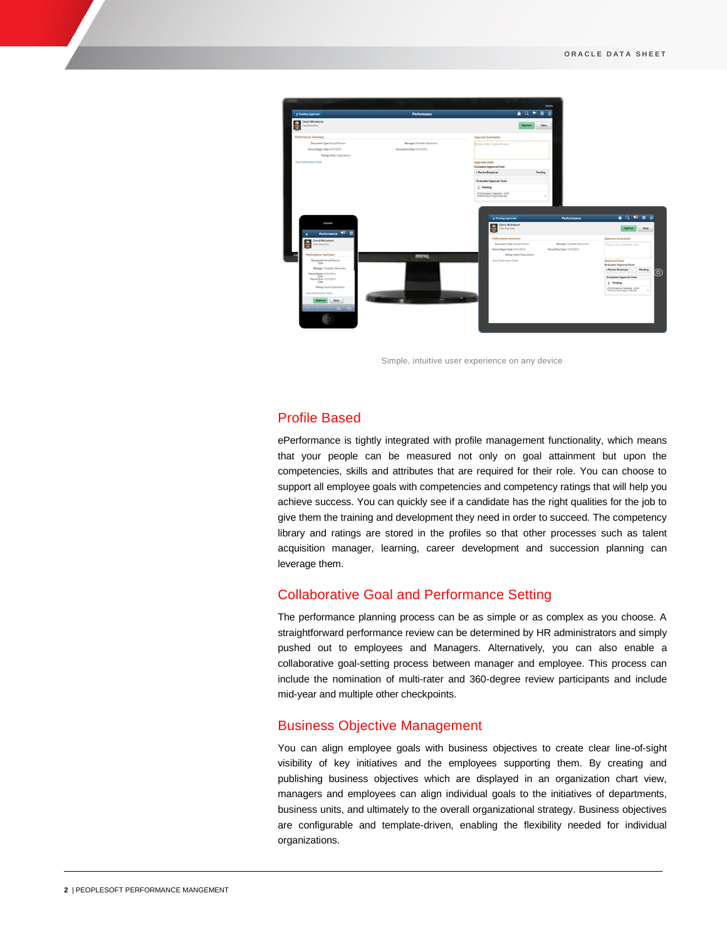

Simple, intuitive user experience on any device

# Profile Based

ePerformance is tightly integrated with profile management functionality, which means that your people can be measured not only on goal attainment but upon the competencies, skills and attributes that are required for their role. You can choose to support all employee goals with competencies and competency ratings that will help you achieve success. You can quickly see if a candidate has the right qualities for the job to give them the training and development they need in order to succeed. The competency library and ratings are stored in the profiles so that other processes such as talent acquisition manager, learning, career development and succession planning can leverage them.

# Collaborative Goal and Performance Setting

The performance planning process can be as simple or as complex as you choose. A straightforward performance review can be determined by HR administrators and simply pushed out to employees and Managers. Alternatively, you can also enable a collaborative goal-setting process between manager and employee. This process can include the nomination of multi-rater and 360-degree review participants and include mid-year and multiple other checkpoints.

### Business Objective Management

You can align employee goals with business objectives to create clear line-of-sight visibility of key initiatives and the employees supporting them. By creating and publishing business objectives which are displayed in an organization chart view, managers and employees can align individual goals to the initiatives of departments, business units, and ultimately to the overall organizational strategy. Business objectives are configurable and template-driven, enabling the flexibility needed for individual organizations.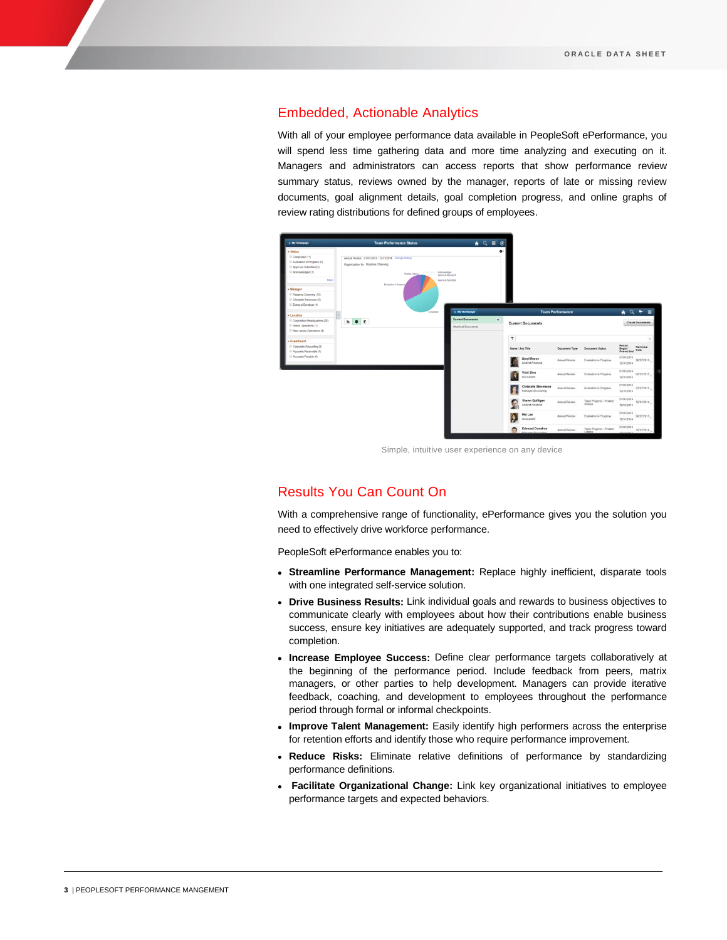### Embedded, Actionable Analytics

With all of your employee performance data available in PeopleSoft ePerformance, you will spend less time gathering data and more time analyzing and executing on it. Managers and administrators can access reports that show performance review summary status, reviews owned by the manager, reports of late or missing review documents, goal alignment details, goal completion progress, and online graphs of review rating distributions for defined groups of employees.



Simple, intuitive user experience on any device

# Results You Can Count On

With a comprehensive range of functionality, ePerformance gives you the solution you need to effectively drive workforce performance.

PeopleSoft ePerformance enables you to:

- **Streamline Performance Management:** Replace highly inefficient, disparate tools with one integrated self-service solution.
- **Drive Business Results:** Link individual goals and rewards to business objectives to communicate clearly with employees about how their contributions enable business success, ensure key initiatives are adequately supported, and track progress toward completion.
- **Increase Employee Success:** Define clear performance targets collaboratively at the beginning of the performance period. Include feedback from peers, matrix managers, or other parties to help development. Managers can provide iterative feedback, coaching, and development to employees throughout the performance period through formal or informal checkpoints.
- **Improve Talent Management:** Easily identify high performers across the enterprise for retention efforts and identify those who require performance improvement.
- **Reduce Risks:** Eliminate relative definitions of performance by standardizing performance definitions.
- **Facilitate Organizational Change:** Link key organizational initiatives to employee performance targets and expected behaviors.